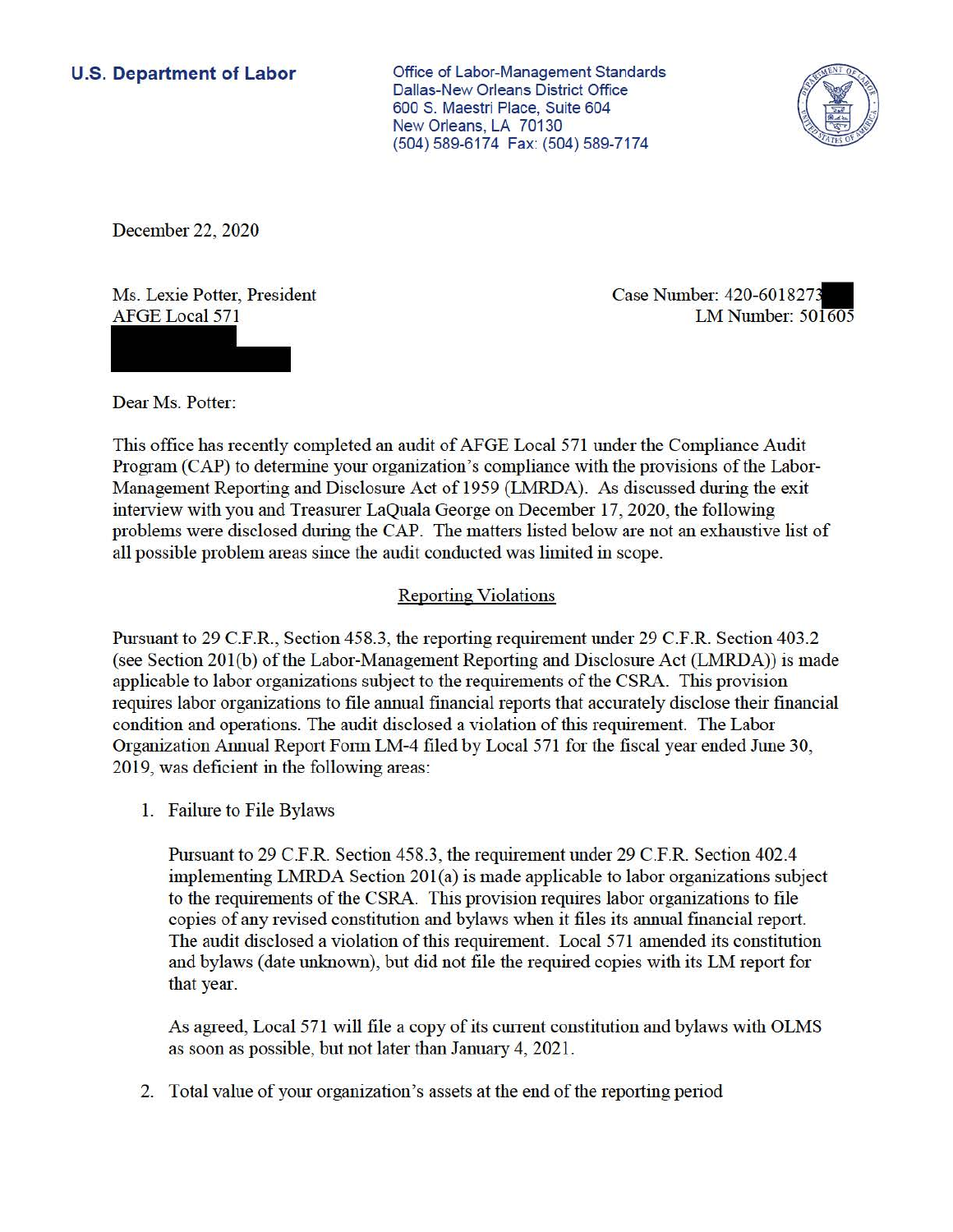## **U.S. Department of Labor**

Office of Labor-Management Standards Dallas-New Orleans District Office 600 S. Maestri Place, Suite 604 New Orleans, LA 70130 (504) 589-6174 Fax: (504) 589-7174



December 22, 2020

Ms. Lexie Potter, President AFGE Local 571

Case Number: 420-601827. LMNumber: 501605

Dear Ms. Potter:

This office has recently completed an audit of AFGE Local 571 under the Compliance Audit Program (CAP) to determine your organization's compliance with the provisions ofthe Labor-Management Reporting and Disclosure Act of 1959 (LMRDA). As discussed during the exit interview with you and Treasurer LaQuala George on December 17, 2020, the following problems were disclosed during the CAP. The matters listed below are not an exhaustive list of all possible problem areas since the audit conducted was limited in scope.

## Reporting Violations

Pursuant to 29 C.F.R., Section 458.3, the reporting requirement under 29 C.F.R. Section 403.2 (see Section 201(b) of the Labor-Management Reporting and Disclosure Act (LMRDA)) is made applicable to labor organizations subject to the requirements of the CSRA. This provision requires labor organizations to file annual financial reports that accurately disclose their financial condition and operations. The audit disclosed a violation of this requirement. The Labor Organization Annual Report Form LM-4 filed by Local 571 for the fiscal year ended June 30, 2019, was deficient in the following areas:

1. Failure to File Bylaws

Pursuant to 29 C.F.R. Section 458.3, the requirement under 29 C.F.R. Section 402.4 implementing LMRDA Section 201(a) is made applicable to labor organizations subject to the requirements of the CSRA. This provision requires labor organizations to file copies of any revised constitution and bylaws when it files its annual financial report. The audit disclosed a violation of this requirement. Local 571 amended its constitution and bylaws (date unknown), but did not file the required copies with its LM report for that year.

As agreed, Local 571 will file a copy of its current constitution and bylaws with OLMS as soon as possible, but not later than January 4, 2021.

2. Total value of your organization's assets at the end of the reporting period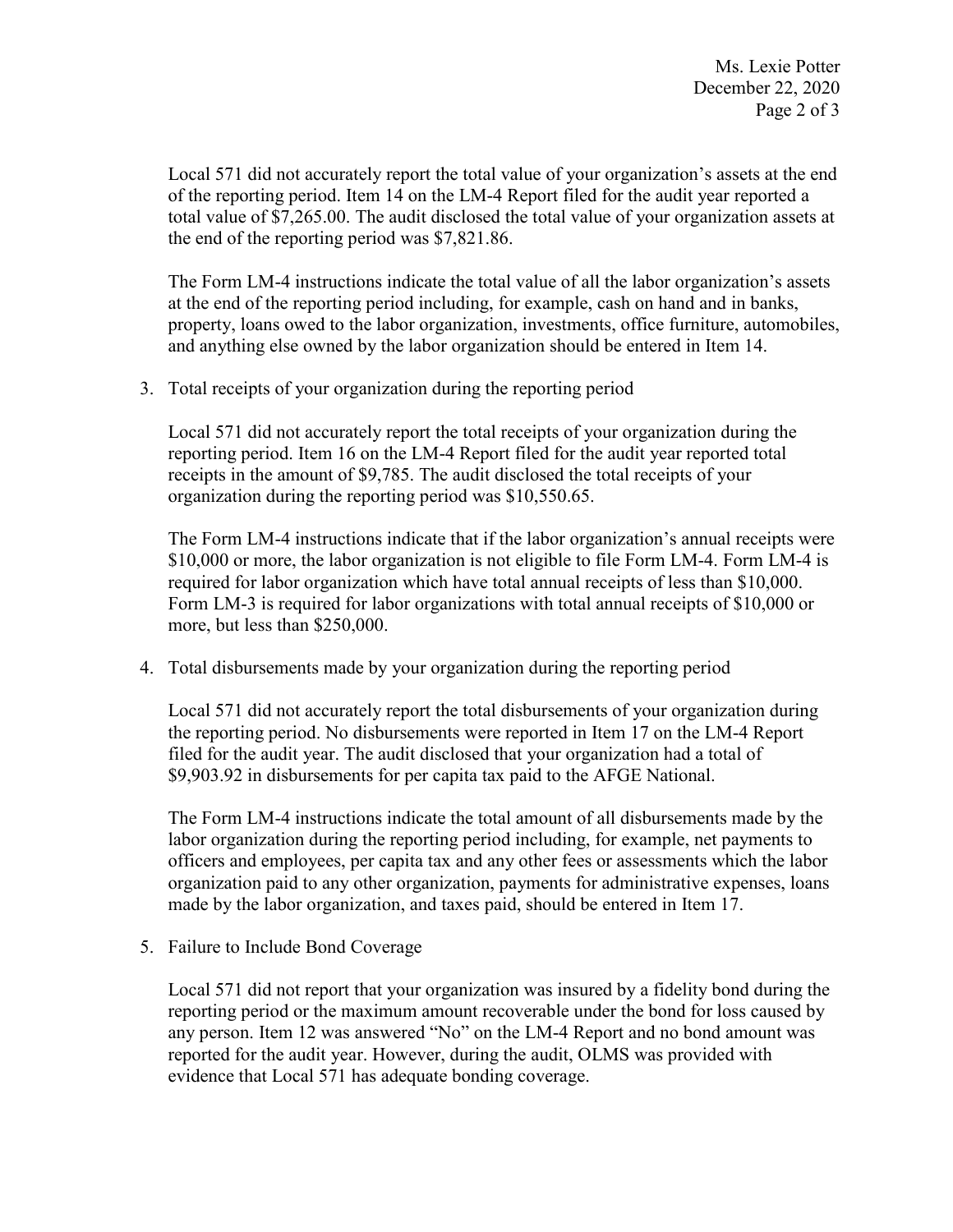Local 571 did not accurately report the total value of your organization's assets at the end of the reporting period. Item 14 on the LM-4 Report filed for the audit year reported a total value of [\\$7,265.00](https://7,265.00). The audit disclosed the total value of your organization assets at the end of the reporting period was \$[7,821.86.](https://7,821.86)

The Form LM-4 instructions indicate the total value of all the labor organization's assets at the end of the reporting period including, for example, cash on hand and in banks, property, loans owed to the labor organization, investments, office furniture, automobiles, and anything else owned by the labor organization should be entered in Item 14.

3. Total receipts of your organization during the reporting period

 receipts in the amount of \$9,785. The audit disclosed the total receipts of your Local 571 did not accurately report the total receipts of your organization during the reporting period. Item 16 on the LM-4 Report filed for the audit year reported total organization during the reporting period was [\\$10,550.65](https://10,550.65).

 \$10,000 or more, the labor organization is not eligible to file Form LM-4. Form LM-4 is The Form LM-4 instructions indicate that if the labor organization's annual receipts were required for labor organization which have total annual receipts of less than \$10,000. Form LM-3 is required for labor organizations with total annual receipts of \$10,000 or more, but less than \$250,000.

4. Total disbursements made by your organization during the reporting period

Local 571 did not accurately report the total disbursements of your organization during the reporting period. No disbursements were reported in Item 17 on the LM-4 Report filed for the audit year. The audit disclosed that your organization had a total of [\\$9,903.92](https://9,903.92) in disbursements for per capita tax paid to the AFGE National.

The Form LM-4 instructions indicate the total amount of all disbursements made by the labor organization during the reporting period including, for example, net payments to officers and employees, per capita tax and any other fees or assessments which the labor organization paid to any other organization, payments for administrative expenses, loans made by the labor organization, and taxes paid, should be entered in Item 17.

5. Failure to Include Bond Coverage

 Local 571 did not report that your organization was insured by a fidelity bond during the any person. Item 12 was answered "No" on the LM-4 Report and no bond amount was evidence that Local 571 has adequate bonding coverage. reporting period or the maximum amount recoverable under the bond for loss caused by reported for the audit year. However, during the audit, OLMS was provided with